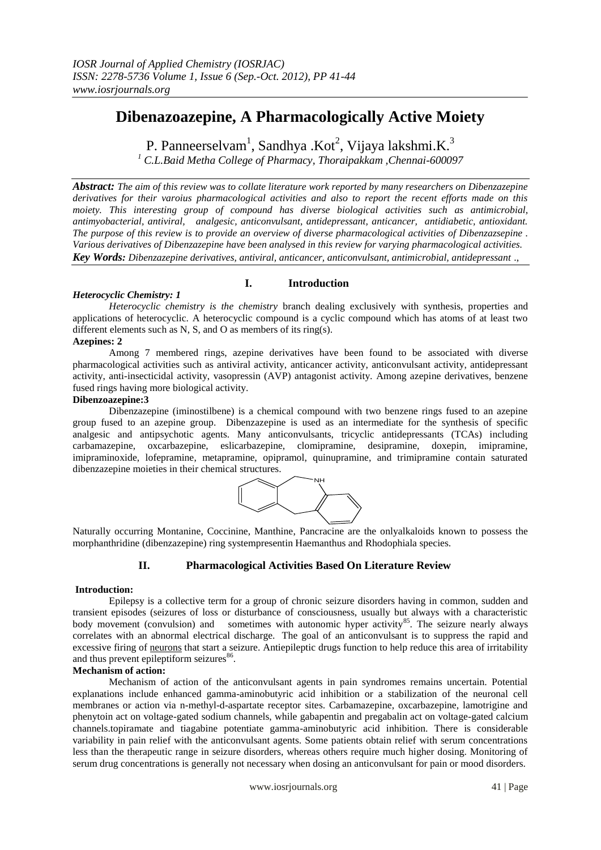# **Dibenazoazepine, A Pharmacologically Active Moiety**

P. Panneerselvam<sup>1</sup>, Sandhya .Kot<sup>2</sup>, Vijaya lakshmi.K.<sup>3</sup>

*<sup>1</sup> C.L.Baid Metha College of Pharmacy, Thoraipakkam ,Chennai-600097*

*Abstract: The aim of this review was to collate literature work reported by many researchers on Dibenzazepine derivatives for their varoius pharmacological activities and also to report the recent efforts made on this moiety. This interesting group of compound has diverse biological activities such as antimicrobial, antimyobacterial, antiviral, analgesic, anticonvulsant, antidepressant, anticancer, antidiabetic, antioxidant. The purpose of this review is to provide an overview of diverse pharmacological activities of Dibenzazsepine . Various derivatives of Dibenzazepine have been analysed in this review for varying pharmacological activities. Key Words: Dibenzazepine derivatives, antiviral, anticancer, anticonvulsant, antimicrobial, antidepressant* .,

## *Heterocyclic Chemistry: 1*

*Heterocyclic chemistry is the chemistry* branch dealing exclusively with synthesis, properties and applications of heterocyclic. A heterocyclic compound is a cyclic compound which has atoms of at least two different elements such as N, S, and O as members of its ring(s).

**I. Introduction**

#### **Azepines: 2**

Among 7 membered rings, azepine derivatives have been found to be associated with diverse pharmacological activities such as antiviral activity, anticancer activity, anticonvulsant activity, antidepressant activity, anti-insecticidal activity, vasopressin (AVP) antagonist activity. Among azepine derivatives, benzene fused rings having more biological activity.

#### **Dibenzoazepine:3**

Dibenzazepine (iminostilbene) is a chemical compound with two benzene rings fused to an azepine group fused to an azepine group. Dibenzazepine is used as an intermediate for the synthesis of specific analgesic and antipsychotic agents. Many anticonvulsants, tricyclic antidepressants (TCAs) including carbamazepine, oxcarbazepine, eslicarbazepine, clomipramine, desipramine, doxepin, imipramine, imipraminoxide, lofepramine, metapramine, opipramol, quinupramine, and trimipramine contain saturated dibenzazepine moieties in their chemical structures.



Naturally occurring Montanine, Coccinine, Manthine, Pancracine are the onlyalkaloids known to possess the morphanthridine (dibenzazepine) ring systempresentin Haemanthus and Rhodophiala species.

## **II. Pharmacological Activities Based On Literature Review**

#### **Introduction:**

Epilepsy is a collective term for a group of chronic seizure disorders having in common, sudden and transient episodes (seizures of loss or disturbance of consciousness, usually but always with a characteristic body movement (convulsion) and sometimes with autonomic hyper activity<sup>85</sup>. The seizure nearly always correlates with an abnormal electrical discharge. The goal of an anticonvulsant is to suppress the rapid and excessive firing of [neurons](http://en.wikipedia.org/wiki/Neuron) that start a seizure. Antiepileptic drugs function to help reduce this area of irritability and thus prevent epileptiform seizures<sup>86</sup>.

#### **Mechanism of action:**

Mechanism of action of the anticonvulsant agents in pain syndromes remains uncertain. Potential explanations include enhanced gamma-aminobutyric acid inhibition or a stabilization of the neuronal cell membranes or action via n-methyl-d-aspartate receptor sites. Carbamazepine, oxcarbazepine, lamotrigine and phenytoin act on voltage-gated sodium channels, while gabapentin and pregabalin act on voltage-gated calcium channels.topiramate and tiagabine potentiate gamma-aminobutyric acid inhibition. There is considerable variability in pain relief with the anticonvulsant agents. Some patients obtain relief with serum concentrations less than the therapeutic range in seizure disorders, whereas others require much higher dosing. Monitoring of serum drug concentrations is generally not necessary when dosing an anticonvulsant for pain or mood disorders.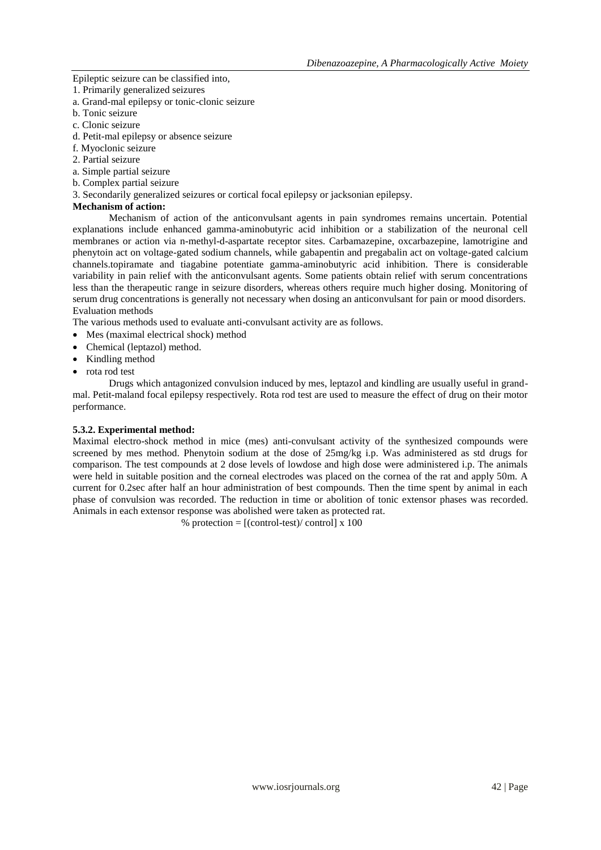Epileptic seizure can be classified into,

- 1. Primarily generalized seizures
- a. Grand-mal epilepsy or tonic-clonic seizure
- b. Tonic seizure
- c. Clonic seizure
- d. Petit-mal epilepsy or absence seizure
- f. Myoclonic seizure
- 2. Partial seizure
- a. Simple partial seizure
- b. Complex partial seizure
- 3. Secondarily generalized seizures or cortical focal epilepsy or jacksonian epilepsy.

#### **Mechanism of action:**

Mechanism of action of the anticonvulsant agents in pain syndromes remains uncertain. Potential explanations include enhanced gamma-aminobutyric acid inhibition or a stabilization of the neuronal cell membranes or action via n-methyl-d-aspartate receptor sites. Carbamazepine, oxcarbazepine, lamotrigine and phenytoin act on voltage-gated sodium channels, while gabapentin and pregabalin act on voltage-gated calcium channels.topiramate and tiagabine potentiate gamma-aminobutyric acid inhibition. There is considerable variability in pain relief with the anticonvulsant agents. Some patients obtain relief with serum concentrations less than the therapeutic range in seizure disorders, whereas others require much higher dosing. Monitoring of serum drug concentrations is generally not necessary when dosing an anticonvulsant for pain or mood disorders. Evaluation methods

The various methods used to evaluate anti-convulsant activity are as follows.

- Mes (maximal electrical shock) method
- Chemical (leptazol) method.
- Kindling method
- rota rod test

Drugs which antagonized convulsion induced by mes, leptazol and kindling are usually useful in grandmal. Petit-maland focal epilepsy respectively. Rota rod test are used to measure the effect of drug on their motor performance.

#### **5.3.2. Experimental method:**

Maximal electro-shock method in mice (mes) anti-convulsant activity of the synthesized compounds were screened by mes method. Phenytoin sodium at the dose of 25mg/kg i.p. Was administered as std drugs for comparison. The test compounds at 2 dose levels of lowdose and high dose were administered i.p. The animals were held in suitable position and the corneal electrodes was placed on the cornea of the rat and apply 50m. A current for 0.2sec after half an hour administration of best compounds. Then the time spent by animal in each phase of convulsion was recorded. The reduction in time or abolition of tonic extensor phases was recorded. Animals in each extensor response was abolished were taken as protected rat.

% protection =  $[(control-test)/control] \times 100$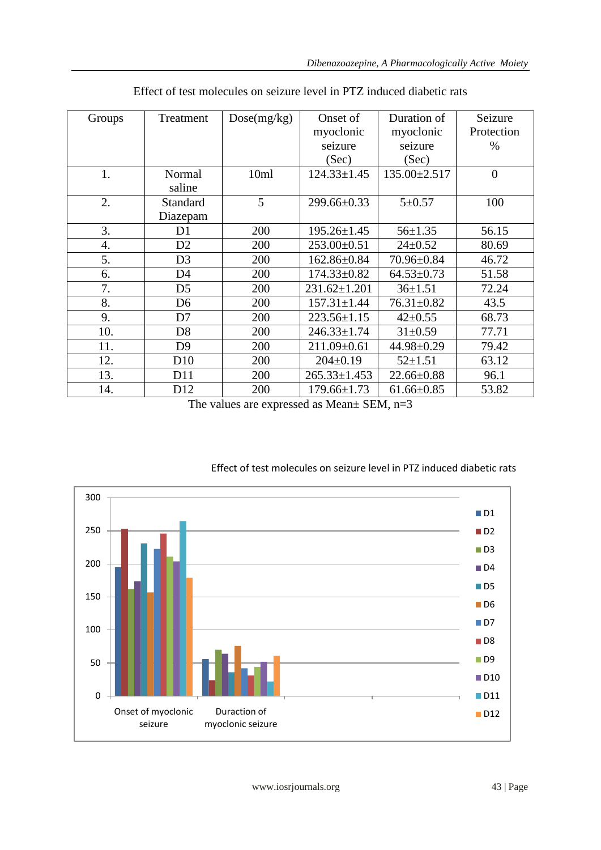| Groups | Treatment       | Dose(mg/kg) | Onset of           | Duration of        | Seizure        |
|--------|-----------------|-------------|--------------------|--------------------|----------------|
|        |                 |             | myoclonic          | myoclonic          | Protection     |
|        |                 |             | seizure            | seizure            | $\%$           |
|        |                 |             | (Sec)              | (Sec)              |                |
| 1.     | Normal          | 10ml        | $124.33 \pm 1.45$  | $135.00 \pm 2.517$ | $\overline{0}$ |
|        | saline          |             |                    |                    |                |
| 2.     | Standard        | 5           | 299.66±0.33        | $5 + 0.57$         | 100            |
|        | Diazepam        |             |                    |                    |                |
| 3.     | D1              | 200         | $195.26 \pm 1.45$  | $56 \pm 1.35$      | 56.15          |
| 4.     | D2              | 200         | $253.00 \pm 0.51$  | $24 \pm 0.52$      | 80.69          |
| 5.     | D <sub>3</sub>  | 200         | $162.86 \pm 0.84$  | 70.96±0.84         | 46.72          |
| 6.     | D <sub>4</sub>  | 200         | $174.33 \pm 0.82$  | $64.53 \pm 0.73$   | 51.58          |
| 7.     | D <sub>5</sub>  | 200         | $231.62 \pm 1.201$ | $36 \pm 1.51$      | 72.24          |
| 8.     | D <sub>6</sub>  | 200         | $157.31 \pm 1.44$  | $76.31 \pm 0.82$   | 43.5           |
| 9.     | D7              | 200         | $223.56 \pm 1.15$  | $42 \pm 0.55$      | 68.73          |
| 10.    | D <sub>8</sub>  | 200         | $246.33 \pm 1.74$  | $31 \pm 0.59$      | 77.71          |
| 11.    | D <sub>9</sub>  | 200         | 211.09±0.61        | 44.98±0.29         | 79.42          |
| 12.    | D10             | 200         | $204 \pm 0.19$     | $52 \pm 1.51$      | 63.12          |
| 13.    | D11             | 200         | $265.33 \pm 1.453$ | $22.66 \pm 0.88$   | 96.1           |
| 14.    | D <sub>12</sub> | 200         | $179.66 \pm 1.73$  | $61.66 \pm 0.85$   | 53.82          |

|  |  | Effect of test molecules on seizure level in PTZ induced diabetic rats |
|--|--|------------------------------------------------------------------------|
|--|--|------------------------------------------------------------------------|

The values are expressed as Mean± SEM, n=3



# Effect of test molecules on seizure level in PTZ induced diabetic rats